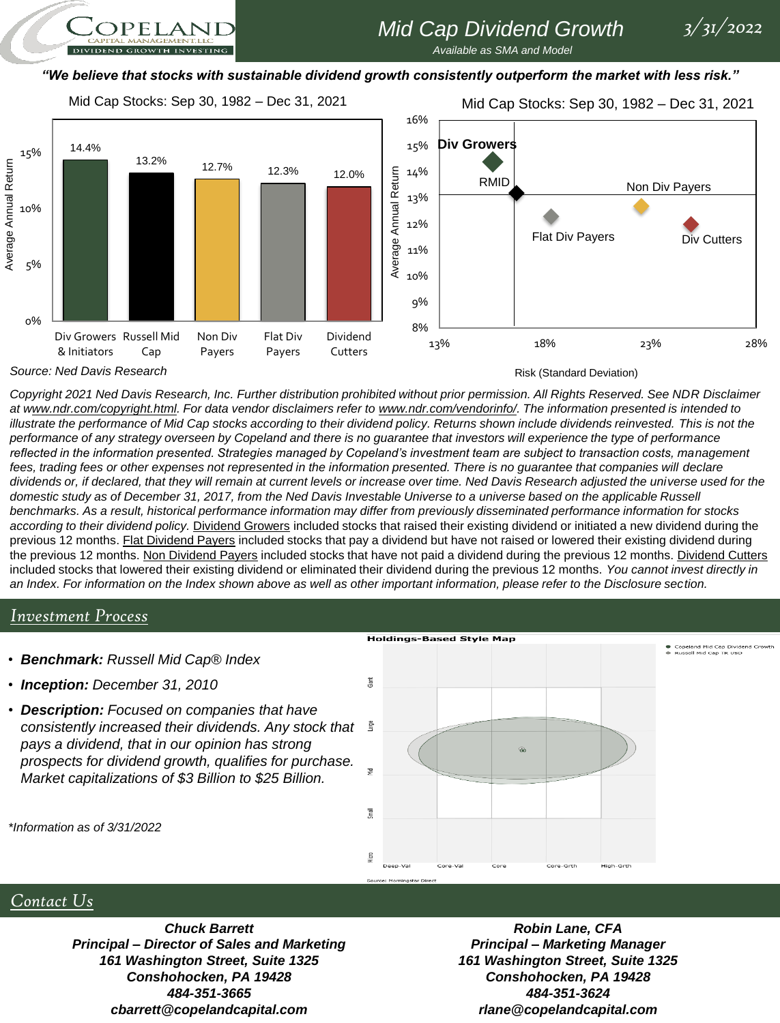# *Mid Cap Dividend Growth*

*Available as SMA and Model* 

#### *"We believe that stocks with sustainable dividend growth consistently outperform the market with less risk."*

Mid Cap Stocks: Sep 30, 1982 – Dec 31, 2021

DIVIDEND GROWTH INVESTING

Mid Cap Stocks: Sep 30, 1982 – Dec 31, 2021

*3/31/2022*



*Copyright 2021 Ned Davis Research, Inc. Further distribution prohibited without prior permission. All Rights Reserved. See NDR Disclaimer at www.ndr.com/copyright.html. For data vendor disclaimers refer to www.ndr.com/vendorinfo/. The information presented is intended to*  illustrate the performance of Mid Cap stocks according to their dividend policy. Returns shown include dividends reinvested. This is not the *performance of any strategy overseen by Copeland and there is no guarantee that investors will experience the type of performance reflected in the information presented. Strategies managed by Copeland's investment team are subject to transaction costs, management*  fees, trading fees or other expenses not represented in the information presented. There is no guarantee that companies will declare *dividends or, if declared, that they will remain at current levels or increase over time. Ned Davis Research adjusted the universe used for the domestic study as of December 31, 2017, from the Ned Davis Investable Universe to a universe based on the applicable Russell benchmarks. As a result, historical performance information may differ from previously disseminated performance information for stocks*  according to their dividend policy. Dividend Growers included stocks that raised their existing dividend or initiated a new dividend during the previous 12 months. Flat Dividend Payers included stocks that pay a dividend but have not raised or lowered their existing dividend during the previous 12 months. Non Dividend Payers included stocks that have not paid a dividend during the previous 12 months. Dividend Cutters included stocks that lowered their existing dividend or eliminated their dividend during the previous 12 months. *You cannot invest directly in an Index. For information on the Index shown above as well as other important information, please refer to the Disclosure section.*

#### *Investment Process*

- *Benchmark: Russell Mid Cap® Index*
- *Inception: December 31, 2010*
- *Description: Focused on companies that have consistently increased their dividends. Any stock that pays a dividend, that in our opinion has strong prospects for dividend growth, qualifies for purchase. Market capitalizations of \$3 Billion to \$25 Billion.*

*\*Information as of 3/31/2022*



#### *Contact Us*

*Chuck Barrett Principal – Director of Sales and Marketing 161 Washington Street, Suite 1325 Conshohocken, PA 19428 484-351-3665 cbarrett@copelandcapital.com*

*Robin Lane, CFA Principal – Marketing Manager 161 Washington Street, Suite 1325 Conshohocken, PA 19428 484-351-3624 rlane@copelandcapital.com*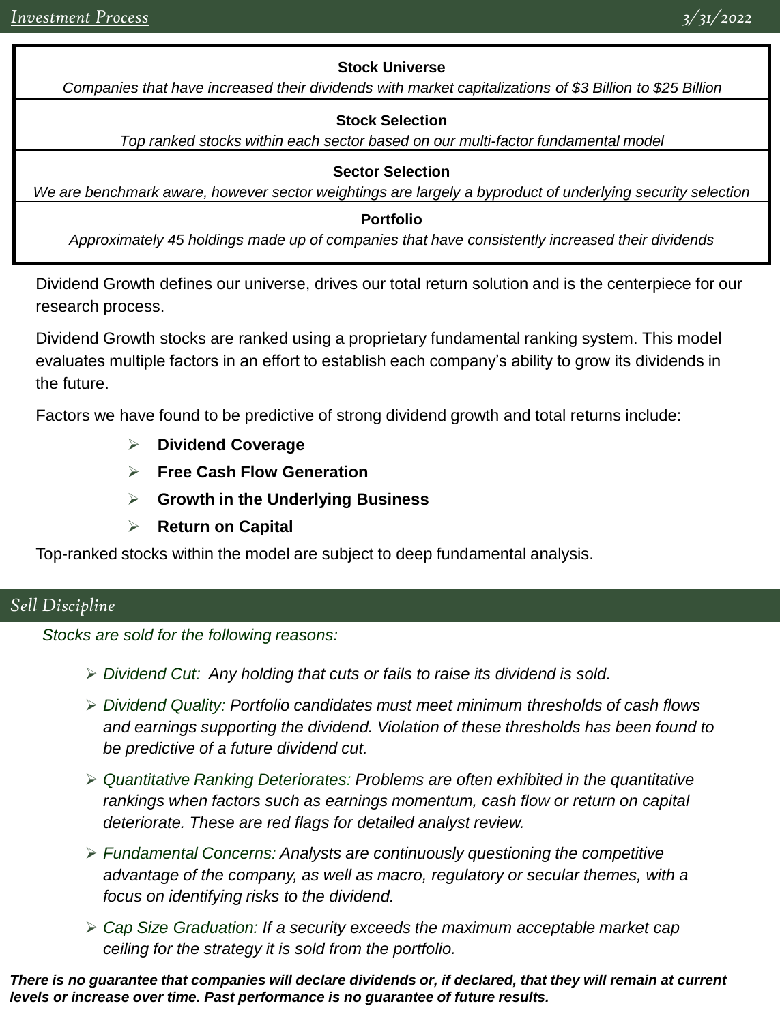### **Stock Universe**

*Companies that have increased their dividends with market capitalizations of \$3 Billion to \$25 Billion*

### **Stock Selection**

*Top ranked stocks within each sector based on our multi-factor fundamental model*

#### **Sector Selection**

*We are benchmark aware, however sector weightings are largely a byproduct of underlying security selection*

#### **Portfolio**

*Approximately 45 holdings made up of companies that have consistently increased their dividends*

Dividend Growth defines our universe, drives our total return solution and is the centerpiece for our research process.

Dividend Growth stocks are ranked using a proprietary fundamental ranking system. This model evaluates multiple factors in an effort to establish each company's ability to grow its dividends in the future.

Factors we have found to be predictive of strong dividend growth and total returns include:

- ➢ **Dividend Coverage**
- ➢ **Free Cash Flow Generation**
- ➢ **Growth in the Underlying Business**
- ➢ **Return on Capital**

Top-ranked stocks within the model are subject to deep fundamental analysis.

### *Sell Discipline*

*Stocks are sold for the following reasons:* 

- ➢ *Dividend Cut: Any holding that cuts or fails to raise its dividend is sold.*
- ➢ *Dividend Quality: Portfolio candidates must meet minimum thresholds of cash flows and earnings supporting the dividend. Violation of these thresholds has been found to be predictive of a future dividend cut.*
- ➢ *Quantitative Ranking Deteriorates: Problems are often exhibited in the quantitative rankings when factors such as earnings momentum, cash flow or return on capital deteriorate. These are red flags for detailed analyst review.*
- ➢ *Fundamental Concerns: Analysts are continuously questioning the competitive*  advantage of the company, as well as macro, regulatory or secular themes, with a *focus on identifying risks to the dividend.*
- ➢ *Cap Size Graduation: If a security exceeds the maximum acceptable market cap ceiling for the strategy it is sold from the portfolio.*

*There is no guarantee that companies will declare dividends or, if declared, that they will remain at current levels or increase over time. Past performance is no guarantee of future results.*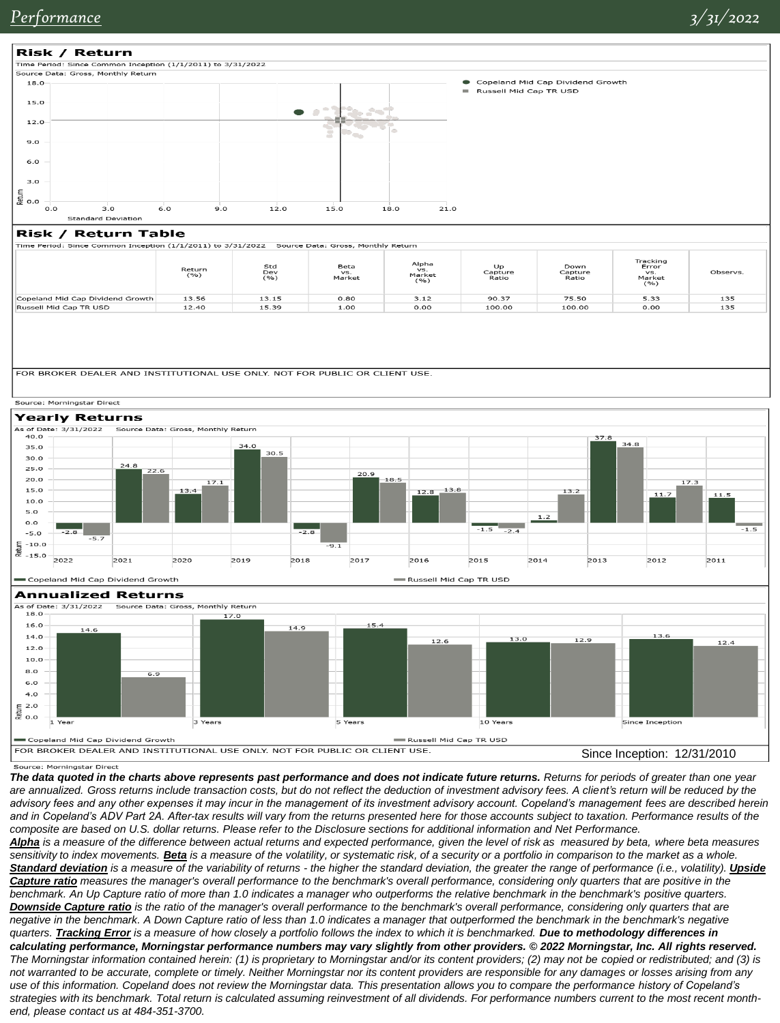

Source: Morningstar Direct

*The data quoted in the charts above represents past performance and does not indicate future returns. Returns for periods of greater than one year*  are annualized. Gross returns include transaction costs, but do not reflect the deduction of investment advisory fees. A client's return will be reduced by the *advisory fees and any other expenses it may incur in the management of its investment advisory account. Copeland's management fees are described herein*  and in Copeland's ADV Part 2A. After-tax results will vary from the returns presented here for those accounts subject to taxation. Performance results of the *composite are based on U.S. dollar returns. Please refer to the Disclosure sections for additional information and Net Performance.* 

*Alpha is a measure of the difference between actual returns and expected performance, given the level of risk as measured by beta, where beta measures sensitivity to index movements. Beta is a measure of the volatility, or systematic risk, of a security or a portfolio in comparison to the market as a whole.*  Standard deviation is a measure of the variability of returns - the higher the standard deviation, the greater the range of performance (i.e., volatility). Upside *Capture ratio measures the manager's overall performance to the benchmark's overall performance, considering only quarters that are positive in the benchmark. An Up Capture ratio of more than 1.0 indicates a manager who outperforms the relative benchmark in the benchmark's positive quarters. Downside Capture ratio is the ratio of the manager's overall performance to the benchmark's overall performance, considering only quarters that are negative in the benchmark. A Down Capture ratio of less than 1.0 indicates a manager that outperformed the benchmark in the benchmark's negative quarters. Tracking Error is a measure of how closely a portfolio follows the index to which it is benchmarked. Due to methodology differences in calculating performance, Morningstar performance numbers may vary slightly from other providers. © 2022 Morningstar, Inc. All rights reserved. The Morningstar information contained herein: (1) is proprietary to Morningstar and/or its content providers; (2) may not be copied or redistributed; and (3) is not warranted to be accurate, complete or timely. Neither Morningstar nor its content providers are responsible for any damages or losses arising from any use of this information. Copeland does not review the Morningstar data. This presentation allows you to compare the performance history of Copeland's strategies with its benchmark. Total return is calculated assuming reinvestment of all dividends. For performance numbers current to the most recent monthend, please contact us at 484-351-3700.*